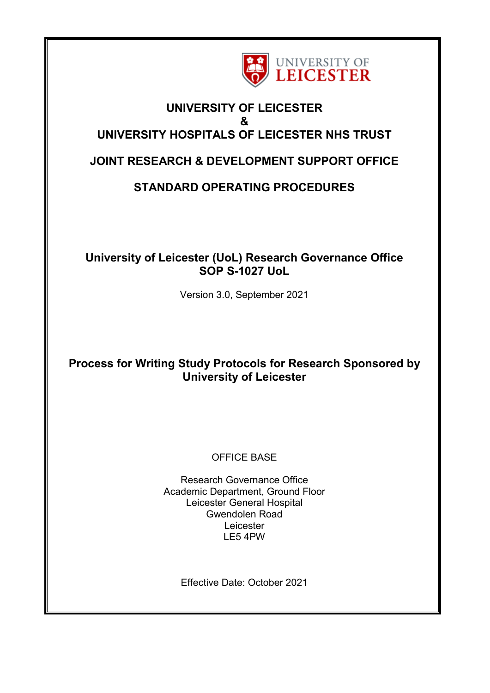

### **UNIVERSITY OF LEICESTER & UNIVERSITY HOSPITALS OF LEICESTER NHS TRUST**

## **JOINT RESEARCH & DEVELOPMENT SUPPORT OFFICE**

# **STANDARD OPERATING PROCEDURES**

## **University of Leicester (UoL) Research Governance Office SOP S-1027 UoL**

Version 3.0, September 2021

## **Process for Writing Study Protocols for Research Sponsored by University of Leicester**

### OFFICE BASE

Research Governance Office Academic Department, Ground Floor Leicester General Hospital Gwendolen Road Leicester LE5 4PW

Effective Date: October 2021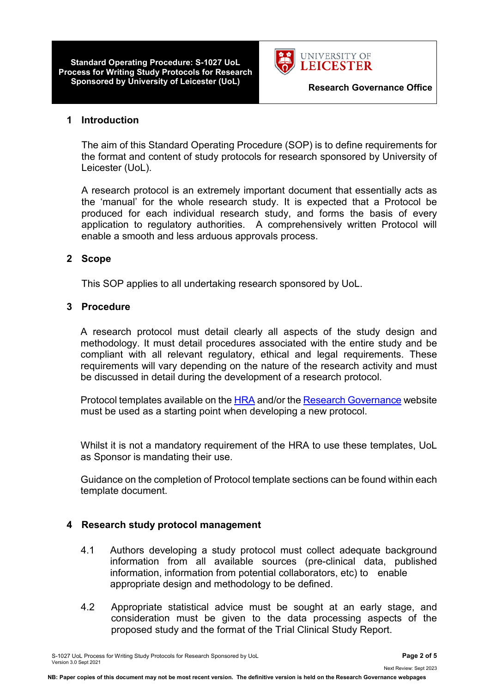**Standard Operating Procedure: S-1027 UoL Process for Writing Study Protocols for Research Sponsored by University of Leicester (UoL) Research Governance Office**



#### **1 Introduction**

The aim of this Standard Operating Procedure (SOP) is to define requirements for the format and content of study protocols for research sponsored by University of Leicester (UoL).

A research protocol is an extremely important document that essentially acts as the 'manual' for the whole research study. It is expected that a Protocol be produced for each individual research study, and forms the basis of every application to regulatory authorities. A comprehensively written Protocol will enable a smooth and less arduous approvals process.

#### **2 Scope**

This SOP applies to all undertaking research sponsored by UoL.

#### **3 Procedure**

A research protocol must detail clearly all aspects of the study design and methodology. It must detail procedures associated with the entire study and be compliant with all relevant regulatory, ethical and legal requirements. These requirements will vary depending on the nature of the research activity and must be discussed in detail during the development of a research protocol.

Protocol templates available on the [HRA](https://www.hra.nhs.uk/planning-and-improving-research/research-planning/protocol/) and/or the [Research Governance](https://uniofleicester.sharepoint.com/sites/Research-Governance-Ethics-Integrity/SitePages/Sponsorship---How-to-Apply.aspx) website must be used as a starting point when developing a new protocol.

Whilst it is not a mandatory requirement of the HRA to use these templates, UoL as Sponsor is mandating their use.

Guidance on the completion of Protocol template sections can be found within each template document.

#### **4 Research study protocol management**

- 4.1 Authors developing a study protocol must collect adequate background information from all available sources (pre-clinical data, published information, information from potential collaborators, etc) to enable appropriate design and methodology to be defined.
- 4.2 Appropriate statistical advice must be sought at an early stage, and consideration must be given to the data processing aspects of the proposed study and the format of the Trial Clinical Study Report.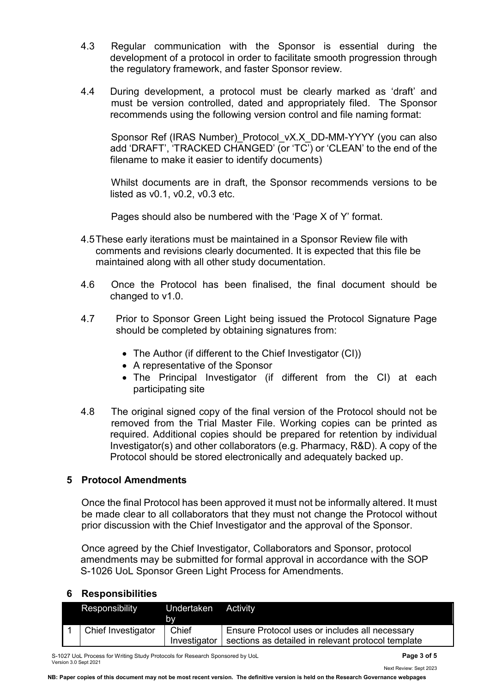- 4.3 Regular communication with the Sponsor is essential during the development of a protocol in order to facilitate smooth progression through the regulatory framework, and faster Sponsor review.
- 4.4 During development, a protocol must be clearly marked as 'draft' and must be version controlled, dated and appropriately filed. The Sponsor recommends using the following version control and file naming format:

Sponsor Ref (IRAS Number) Protocol vX.X DD-MM-YYYY (you can also add 'DRAFT', 'TRACKED CHANGED' (or 'TC') or 'CLEAN' to the end of the filename to make it easier to identify documents)

Whilst documents are in draft, the Sponsor recommends versions to be listed as v0.1, v0.2, v0.3 etc.

Pages should also be numbered with the 'Page X of Y' format.

- 4.5These early iterations must be maintained in a Sponsor Review file with comments and revisions clearly documented. It is expected that this file be maintained along with all other study documentation.
- 4.6 Once the Protocol has been finalised, the final document should be changed to v1.0.
- 4.7 Prior to Sponsor Green Light being issued the Protocol Signature Page should be completed by obtaining signatures from:
	- The Author (if different to the Chief Investigator (CI))
	- A representative of the Sponsor
	- The Principal Investigator (if different from the CI) at each participating site
- 4.8 The original signed copy of the final version of the Protocol should not be removed from the Trial Master File. Working copies can be printed as required. Additional copies should be prepared for retention by individual Investigator(s) and other collaborators (e.g. Pharmacy, R&D). A copy of the Protocol should be stored electronically and adequately backed up.

#### **5 Protocol Amendments**

Once the final Protocol has been approved it must not be informally altered. It must be made clear to all collaborators that they must not change the Protocol without prior discussion with the Chief Investigator and the approval of the Sponsor.

Once agreed by the Chief Investigator, Collaborators and Sponsor, protocol amendments may be submitted for formal approval in accordance with the SOP S-1026 UoL Sponsor Green Light Process for Amendments.

#### **6 Responsibilities**

| Responsibility     | Undertaken<br>bv      | Activity                                                                                             |
|--------------------|-----------------------|------------------------------------------------------------------------------------------------------|
| Chief Investigator | Chief<br>Investigator | Ensure Protocol uses or includes all necessary<br>sections as detailed in relevant protocol template |

S-1027 UoL Process for Writing Study Protocols for Research Sponsored by UoL **Page 3 of 5** Version 3.0 Sept 2021

Next Review: Sept 2023

**NB: Paper copies of this document may not be most recent version. The definitive version is held on the Research Governance webpages**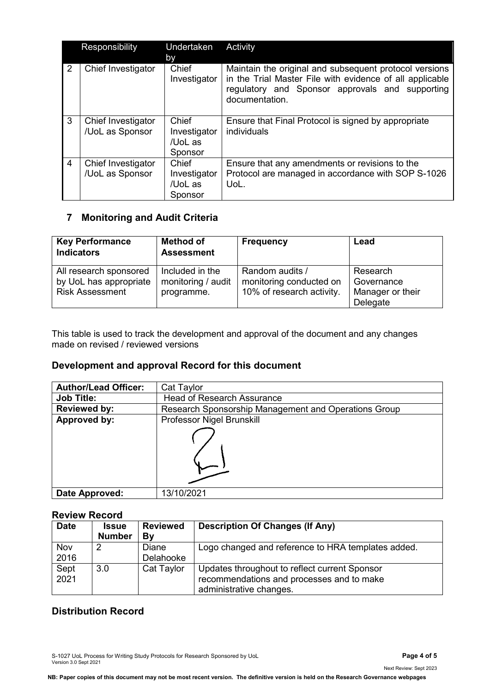|                | Responsibility                        | Undertaken<br><b>by</b>                     | Activity                                                                                                                                                                                |
|----------------|---------------------------------------|---------------------------------------------|-----------------------------------------------------------------------------------------------------------------------------------------------------------------------------------------|
| 2              | Chief Investigator                    | Chief<br>Investigator                       | Maintain the original and subsequent protocol versions<br>in the Trial Master File with evidence of all applicable<br>regulatory and Sponsor approvals and supporting<br>documentation. |
| 3              | Chief Investigator<br>/UoL as Sponsor | Chief<br>Investigator<br>/UoL as<br>Sponsor | Ensure that Final Protocol is signed by appropriate<br>individuals                                                                                                                      |
| $\overline{4}$ | Chief Investigator<br>/UoL as Sponsor | Chief<br>Investigator<br>/UoL as<br>Sponsor | Ensure that any amendments or revisions to the<br>Protocol are managed in accordance with SOP S-1026<br>UoL.                                                                            |

### **7 Monitoring and Audit Criteria**

| <b>Key Performance</b><br><b>Indicators</b>                                | <b>Method of</b><br><b>Assessment</b>               | <b>Frequency</b>                                                        | Lead                                                   |
|----------------------------------------------------------------------------|-----------------------------------------------------|-------------------------------------------------------------------------|--------------------------------------------------------|
| All research sponsored<br>by UoL has appropriate<br><b>Risk Assessment</b> | Included in the<br>monitoring / audit<br>programme. | Random audits /<br>monitoring conducted on<br>10% of research activity. | Research<br>Governance<br>Manager or their<br>Delegate |

This table is used to track the development and approval of the document and any changes made on revised / reviewed versions

#### **Development and approval Record for this document**

| <b>Author/Lead Officer:</b> | Cat Taylor                                           |  |  |
|-----------------------------|------------------------------------------------------|--|--|
| <b>Job Title:</b>           | <b>Head of Research Assurance</b>                    |  |  |
| <b>Reviewed by:</b>         | Research Sponsorship Management and Operations Group |  |  |
| Approved by:                | Professor Nigel Brunskill                            |  |  |
|                             |                                                      |  |  |
| Date Approved:              | 13/10/2021                                           |  |  |

#### **Review Record**

| <b>Date</b>  | <b>Issue</b><br><b>Number</b> | <b>Reviewed</b><br>By | <b>Description Of Changes (If Any)</b>                                                                                |
|--------------|-------------------------------|-----------------------|-----------------------------------------------------------------------------------------------------------------------|
| Nov<br>2016  |                               | Diane<br>Delahooke    | Logo changed and reference to HRA templates added.                                                                    |
| Sept<br>2021 | 3.0 <sub>2</sub>              | Cat Taylor            | Updates throughout to reflect current Sponsor<br>recommendations and processes and to make<br>administrative changes. |

### **Distribution Record**

S-1027 UoL Process for Writing Study Protocols for Research Sponsored by UoL **Page 4 of 5** Version 3.0 Sept 2021

Next Review: Sept 2023